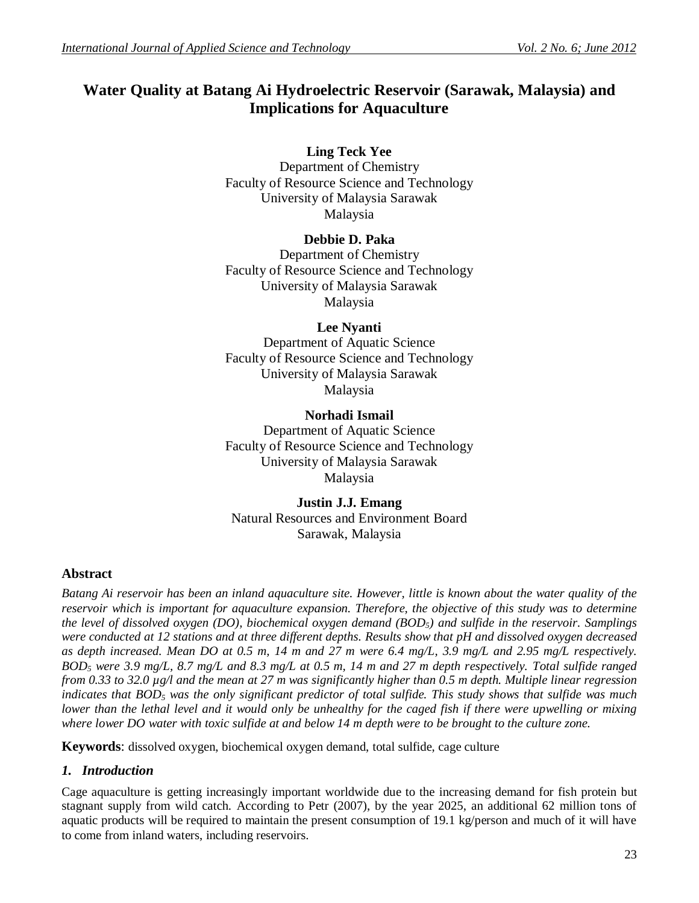# **Water Quality at Batang Ai Hydroelectric Reservoir (Sarawak, Malaysia) and Implications for Aquaculture**

# **Ling Teck Yee**

Department of Chemistry Faculty of Resource Science and Technology University of Malaysia Sarawak Malaysia

# **Debbie D. Paka**

Department of Chemistry Faculty of Resource Science and Technology University of Malaysia Sarawak Malaysia

# **Lee Nyanti**

Department of Aquatic Science Faculty of Resource Science and Technology University of Malaysia Sarawak Malaysia

### **Norhadi Ismail** Department of Aquatic Science Faculty of Resource Science and Technology University of Malaysia Sarawak Malaysia

**Justin J.J. Emang** Natural Resources and Environment Board Sarawak, Malaysia

# **Abstract**

*Batang Ai reservoir has been an inland aquaculture site. However, little is known about the water quality of the reservoir which is important for aquaculture expansion. Therefore, the objective of this study was to determine the level of dissolved oxygen (DO), biochemical oxygen demand (BOD5) and sulfide in the reservoir. Samplings were conducted at 12 stations and at three different depths. Results show that pH and dissolved oxygen decreased as depth increased. Mean DO at 0.5 m, 14 m and 27 m were 6.4 mg/L, 3.9 mg/L and 2.95 mg/L respectively. BOD<sup>5</sup> were 3.9 mg/L, 8.7 mg/L and 8.3 mg/L at 0.5 m, 14 m and 27 m depth respectively. Total sulfide ranged from 0.33 to 32.0 µg/l and the mean at 27 m was significantly higher than 0.5 m depth. Multiple linear regression indicates that BOD<sup>5</sup> was the only significant predictor of total sulfide. This study shows that sulfide was much lower than the lethal level and it would only be unhealthy for the caged fish if there were upwelling or mixing where lower DO water with toxic sulfide at and below 14 m depth were to be brought to the culture zone.*

**Keywords**: dissolved oxygen, biochemical oxygen demand, total sulfide, cage culture

# *1. Introduction*

Cage aquaculture is getting increasingly important worldwide due to the increasing demand for fish protein but stagnant supply from wild catch. According to Petr (2007), by the year 2025, an additional 62 million tons of aquatic products will be required to maintain the present consumption of 19.1 kg/person and much of it will have to come from inland waters, including reservoirs.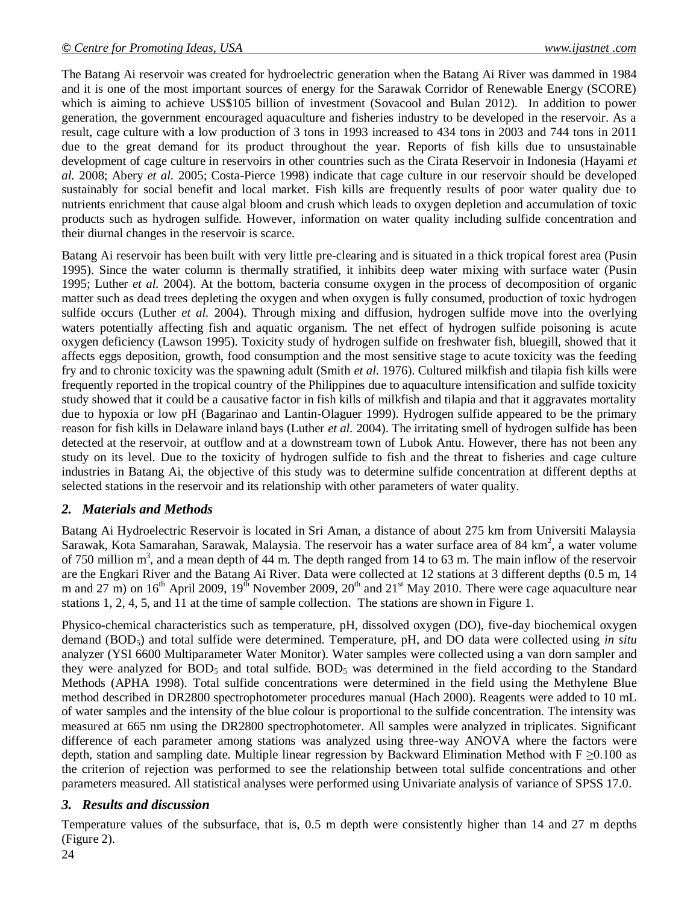The Batang Ai reservoir was created for hydroelectric generation when the Batang Ai River was dammed in 1984 and it is one of the most important sources of energy for the Sarawak Corridor of Renewable Energy (SCORE) which is aiming to achieve US\$105 billion of investment (Sovacool and Bulan 2012). In addition to power generation, the government encouraged aquaculture and fisheries industry to be developed in the reservoir. As a result, cage culture with a low production of 3 tons in 1993 increased to 434 tons in 2003 and 744 tons in 2011 due to the great demand for its product throughout the year. Reports of fish kills due to unsustainable development of cage culture in reservoirs in other countries such as the Cirata Reservoir in Indonesia (Hayami *et al.* 2008; Abery *et al.* 2005; Costa-Pierce 1998) indicate that cage culture in our reservoir should be developed sustainably for social benefit and local market. Fish kills are frequently results of poor water quality due to nutrients enrichment that cause algal bloom and crush which leads to oxygen depletion and accumulation of toxic products such as hydrogen sulfide. However, information on water quality including sulfide concentration and their diurnal changes in the reservoir is scarce.

Batang Ai reservoir has been built with very little pre-clearing and is situated in a thick tropical forest area (Pusin 1995). Since the water column is thermally stratified, it inhibits deep water mixing with surface water (Pusin 1995; Luther *et al.* 2004). At the bottom, bacteria consume oxygen in the process of decomposition of organic matter such as dead trees depleting the oxygen and when oxygen is fully consumed, production of toxic hydrogen sulfide occurs (Luther *et al.* 2004). Through mixing and diffusion, hydrogen sulfide move into the overlying waters potentially affecting fish and aquatic organism. The net effect of hydrogen sulfide poisoning is acute oxygen deficiency (Lawson 1995). Toxicity study of hydrogen sulfide on freshwater fish, bluegill, showed that it affects eggs deposition, growth, food consumption and the most sensitive stage to acute toxicity was the feeding fry and to chronic toxicity was the spawning adult (Smith *et al.* 1976). Cultured milkfish and tilapia fish kills were frequently reported in the tropical country of the Philippines due to aquaculture intensification and sulfide toxicity study showed that it could be a causative factor in fish kills of milkfish and tilapia and that it aggravates mortality due to hypoxia or low pH (Bagarinao and Lantin-Olaguer 1999). Hydrogen sulfide appeared to be the primary reason for fish kills in Delaware inland bays (Luther *et al.* 2004). The irritating smell of hydrogen sulfide has been detected at the reservoir, at outflow and at a downstream town of Lubok Antu. However, there has not been any study on its level. Due to the toxicity of hydrogen sulfide to fish and the threat to fisheries and cage culture industries in Batang Ai, the objective of this study was to determine sulfide concentration at different depths at selected stations in the reservoir and its relationship with other parameters of water quality.

# *2. Materials and Methods*

Batang Ai Hydroelectric Reservoir is located in Sri Aman, a distance of about 275 km from Universiti Malaysia Sarawak, Kota Samarahan, Sarawak, Malaysia. The reservoir has a water surface area of 84 km<sup>2</sup>, a water volume of 750 million  $m<sup>3</sup>$ , and a mean depth of 44 m. The depth ranged from 14 to 63 m. The main inflow of the reservoir are the Engkari River and the Batang Ai River. Data were collected at 12 stations at 3 different depths (0.5 m, 14 m and 27 m) on  $16<sup>th</sup>$  April 2009,  $19<sup>th</sup>$  November 2009,  $20<sup>th</sup>$  and  $21<sup>st</sup>$  May 2010. There were cage aquaculture near stations 1, 2, 4, 5, and 11 at the time of sample collection. The stations are shown in Figure 1.

Physico-chemical characteristics such as temperature, pH, dissolved oxygen (DO), five-day biochemical oxygen demand (BOD5) and total sulfide were determined. Temperature, pH, and DO data were collected using *in situ* analyzer (YSI 6600 Multiparameter Water Monitor). Water samples were collected using a van dorn sampler and they were analyzed for  $BOD_5$  and total sulfide.  $BOD_5$  was determined in the field according to the Standard Methods (APHA 1998). Total sulfide concentrations were determined in the field using the Methylene Blue method described in DR2800 spectrophotometer procedures manual (Hach 2000). Reagents were added to 10 mL of water samples and the intensity of the blue colour is proportional to the sulfide concentration. The intensity was measured at 665 nm using the DR2800 spectrophotometer. All samples were analyzed in triplicates. Significant difference of each parameter among stations was analyzed using three-way ANOVA where the factors were depth, station and sampling date. Multiple linear regression by Backward Elimination Method with  $F \ge 0.100$  as the criterion of rejection was performed to see the relationship between total sulfide concentrations and other parameters measured. All statistical analyses were performed using Univariate analysis of variance of SPSS 17.0.

# *3. Results and discussion*

Temperature values of the subsurface, that is, 0.5 m depth were consistently higher than 14 and 27 m depths (Figure 2).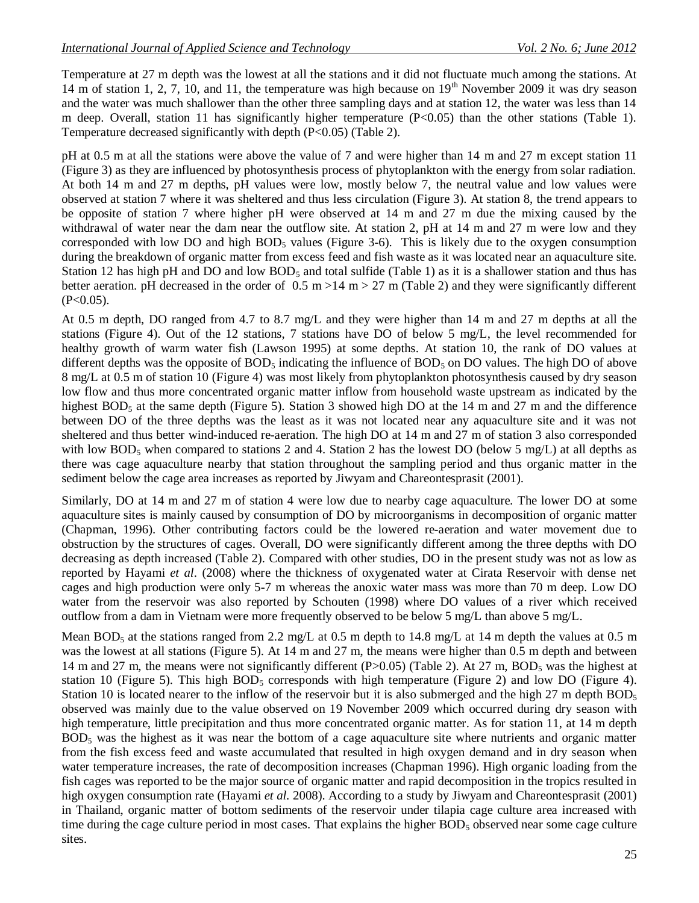Temperature at 27 m depth was the lowest at all the stations and it did not fluctuate much among the stations. At 14 m of station 1, 2, 7, 10, and 11, the temperature was high because on  $19<sup>th</sup>$  November 2009 it was dry season and the water was much shallower than the other three sampling days and at station 12, the water was less than 14 m deep. Overall, station 11 has significantly higher temperature  $(P<0.05)$  than the other stations (Table 1). Temperature decreased significantly with depth (P<0.05) (Table 2).

pH at 0.5 m at all the stations were above the value of 7 and were higher than 14 m and 27 m except station 11 (Figure 3) as they are influenced by photosynthesis process of phytoplankton with the energy from solar radiation. At both 14 m and 27 m depths, pH values were low, mostly below 7, the neutral value and low values were observed at station 7 where it was sheltered and thus less circulation (Figure 3). At station 8, the trend appears to be opposite of station 7 where higher pH were observed at 14 m and 27 m due the mixing caused by the withdrawal of water near the dam near the outflow site. At station 2, pH at 14 m and 27 m were low and they corresponded with low DO and high  $BOD<sub>5</sub>$  values (Figure 3-6). This is likely due to the oxygen consumption during the breakdown of organic matter from excess feed and fish waste as it was located near an aquaculture site. Station 12 has high pH and DO and low BOD<sub>5</sub> and total sulfide (Table 1) as it is a shallower station and thus has better aeration. pH decreased in the order of  $0.5 \text{ m} > 14 \text{ m} > 27 \text{ m}$  (Table 2) and they were significantly different  $(P<0.05)$ .

At 0.5 m depth, DO ranged from 4.7 to 8.7 mg/L and they were higher than 14 m and 27 m depths at all the stations (Figure 4). Out of the 12 stations, 7 stations have DO of below 5 mg/L, the level recommended for healthy growth of warm water fish (Lawson 1995) at some depths. At station 10, the rank of DO values at different depths was the opposite of  $BOD<sub>5</sub>$  indicating the influence of  $BOD<sub>5</sub>$  on DO values. The high DO of above 8 mg/L at 0.5 m of station 10 (Figure 4) was most likely from phytoplankton photosynthesis caused by dry season low flow and thus more concentrated organic matter inflow from household waste upstream as indicated by the highest BOD<sub>5</sub> at the same depth (Figure 5). Station 3 showed high DO at the 14 m and 27 m and the difference between DO of the three depths was the least as it was not located near any aquaculture site and it was not sheltered and thus better wind-induced re-aeration. The high DO at 14 m and 27 m of station 3 also corresponded with low BOD<sub>5</sub> when compared to stations 2 and 4. Station 2 has the lowest DO (below 5 mg/L) at all depths as there was cage aquaculture nearby that station throughout the sampling period and thus organic matter in the sediment below the cage area increases as reported by Jiwyam and Chareontesprasit (2001).

Similarly, DO at 14 m and 27 m of station 4 were low due to nearby cage aquaculture. The lower DO at some aquaculture sites is mainly caused by consumption of DO by microorganisms in decomposition of organic matter (Chapman, 1996). Other contributing factors could be the lowered re-aeration and water movement due to obstruction by the structures of cages. Overall, DO were significantly different among the three depths with DO decreasing as depth increased (Table 2). Compared with other studies, DO in the present study was not as low as reported by Hayami *et al*. (2008) where the thickness of oxygenated water at Cirata Reservoir with dense net cages and high production were only 5-7 m whereas the anoxic water mass was more than 70 m deep. Low DO water from the reservoir was also reported by Schouten (1998) where DO values of a river which received outflow from a dam in Vietnam were more frequently observed to be below 5 mg/L than above 5 mg/L.

Mean BOD<sub>5</sub> at the stations ranged from 2.2 mg/L at 0.5 m depth to 14.8 mg/L at 14 m depth the values at 0.5 m was the lowest at all stations (Figure 5). At 14 m and 27 m, the means were higher than 0.5 m depth and between 14 m and 27 m, the means were not significantly different (P $> 0.05$ ) (Table 2). At 27 m, BOD<sub>5</sub> was the highest at station 10 (Figure 5). This high BOD<sub>5</sub> corresponds with high temperature (Figure 2) and low DO (Figure 4). Station 10 is located nearer to the inflow of the reservoir but it is also submerged and the high 27 m depth BOD<sub>5</sub> observed was mainly due to the value observed on 19 November 2009 which occurred during dry season with high temperature, little precipitation and thus more concentrated organic matter. As for station 11, at 14 m depth  $BOD<sub>5</sub>$  was the highest as it was near the bottom of a cage aquaculture site where nutrients and organic matter from the fish excess feed and waste accumulated that resulted in high oxygen demand and in dry season when water temperature increases, the rate of decomposition increases (Chapman 1996). High organic loading from the fish cages was reported to be the major source of organic matter and rapid decomposition in the tropics resulted in high oxygen consumption rate (Hayami *et al.* 2008). According to a study by Jiwyam and Chareontesprasit (2001) in Thailand, organic matter of bottom sediments of the reservoir under tilapia cage culture area increased with time during the cage culture period in most cases. That explains the higher  $BOD<sub>5</sub>$  observed near some cage culture sites.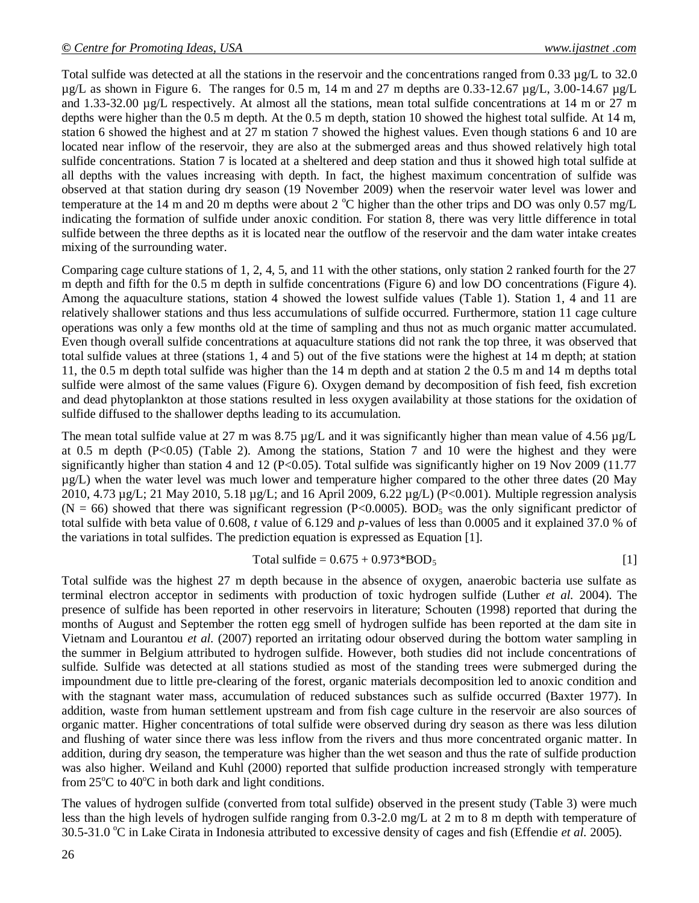Total sulfide was detected at all the stations in the reservoir and the concentrations ranged from 0.33 µg/L to 32.0  $\mu$ g/L as shown in Figure 6. The ranges for 0.5 m, 14 m and 27 m depths are 0.33-12.67  $\mu$ g/L, 3.00-14.67  $\mu$ g/L and 1.33-32.00 µg/L respectively. At almost all the stations, mean total sulfide concentrations at 14 m or 27 m depths were higher than the 0.5 m depth. At the 0.5 m depth, station 10 showed the highest total sulfide. At 14 m, station 6 showed the highest and at 27 m station 7 showed the highest values. Even though stations 6 and 10 are located near inflow of the reservoir, they are also at the submerged areas and thus showed relatively high total sulfide concentrations. Station 7 is located at a sheltered and deep station and thus it showed high total sulfide at all depths with the values increasing with depth. In fact, the highest maximum concentration of sulfide was observed at that station during dry season (19 November 2009) when the reservoir water level was lower and temperature at the 14 m and 20 m depths were about 2  $^{\circ}$ C higher than the other trips and DO was only 0.57 mg/L indicating the formation of sulfide under anoxic condition. For station 8, there was very little difference in total sulfide between the three depths as it is located near the outflow of the reservoir and the dam water intake creates mixing of the surrounding water.

Comparing cage culture stations of 1, 2, 4, 5, and 11 with the other stations, only station 2 ranked fourth for the 27 m depth and fifth for the 0.5 m depth in sulfide concentrations (Figure 6) and low DO concentrations (Figure 4). Among the aquaculture stations, station 4 showed the lowest sulfide values (Table 1). Station 1, 4 and 11 are relatively shallower stations and thus less accumulations of sulfide occurred. Furthermore, station 11 cage culture operations was only a few months old at the time of sampling and thus not as much organic matter accumulated. Even though overall sulfide concentrations at aquaculture stations did not rank the top three, it was observed that total sulfide values at three (stations 1, 4 and 5) out of the five stations were the highest at 14 m depth; at station 11, the 0.5 m depth total sulfide was higher than the 14 m depth and at station 2 the 0.5 m and 14 m depths total sulfide were almost of the same values (Figure 6). Oxygen demand by decomposition of fish feed, fish excretion and dead phytoplankton at those stations resulted in less oxygen availability at those stations for the oxidation of sulfide diffused to the shallower depths leading to its accumulation.

The mean total sulfide value at 27 m was 8.75 µg/L and it was significantly higher than mean value of 4.56 µg/L at 0.5 m depth (P<0.05) (Table 2). Among the stations, Station 7 and 10 were the highest and they were significantly higher than station 4 and 12 (P<0.05). Total sulfide was significantly higher on 19 Nov 2009 (11.77 µg/L) when the water level was much lower and temperature higher compared to the other three dates (20 May 2010, 4.73 µg/L; 21 May 2010, 5.18 µg/L; and 16 April 2009, 6.22 µg/L) (P<0.001). Multiple regression analysis (N = 66) showed that there was significant regression (P<0.0005). BOD<sub>5</sub> was the only significant predictor of total sulfide with beta value of 0.608, *t* value of 6.129 and *p*-values of less than 0.0005 and it explained 37.0 % of the variations in total sulfides. The prediction equation is expressed as Equation [1].

Total sulfide = 
$$
0.675 + 0.973 * BOD_5
$$
 [1]

Total sulfide was the highest 27 m depth because in the absence of oxygen, anaerobic bacteria use sulfate as terminal electron acceptor in sediments with production of toxic hydrogen sulfide (Luther *et al.* 2004). The presence of sulfide has been reported in other reservoirs in literature; Schouten (1998) reported that during the months of August and September the rotten egg smell of hydrogen sulfide has been reported at the dam site in Vietnam and Lourantou *et al.* (2007) reported an irritating odour observed during the bottom water sampling in the summer in Belgium attributed to hydrogen sulfide. However, both studies did not include concentrations of sulfide. Sulfide was detected at all stations studied as most of the standing trees were submerged during the impoundment due to little pre-clearing of the forest, organic materials decomposition led to anoxic condition and with the stagnant water mass, accumulation of reduced substances such as sulfide occurred (Baxter 1977). In addition, waste from human settlement upstream and from fish cage culture in the reservoir are also sources of organic matter. Higher concentrations of total sulfide were observed during dry season as there was less dilution and flushing of water since there was less inflow from the rivers and thus more concentrated organic matter. In addition, during dry season, the temperature was higher than the wet season and thus the rate of sulfide production was also higher. Weiland and Kuhl (2000) reported that sulfide production increased strongly with temperature from  $25^{\circ}$ C to  $40^{\circ}$ C in both dark and light conditions.

The values of hydrogen sulfide (converted from total sulfide) observed in the present study (Table 3) were much less than the high levels of hydrogen sulfide ranging from 0.3-2.0 mg/L at 2 m to 8 m depth with temperature of 30.5-31.0  $\degree$ C in Lake Cirata in Indonesia attributed to excessive density of cages and fish (Effendie *et al.* 2005).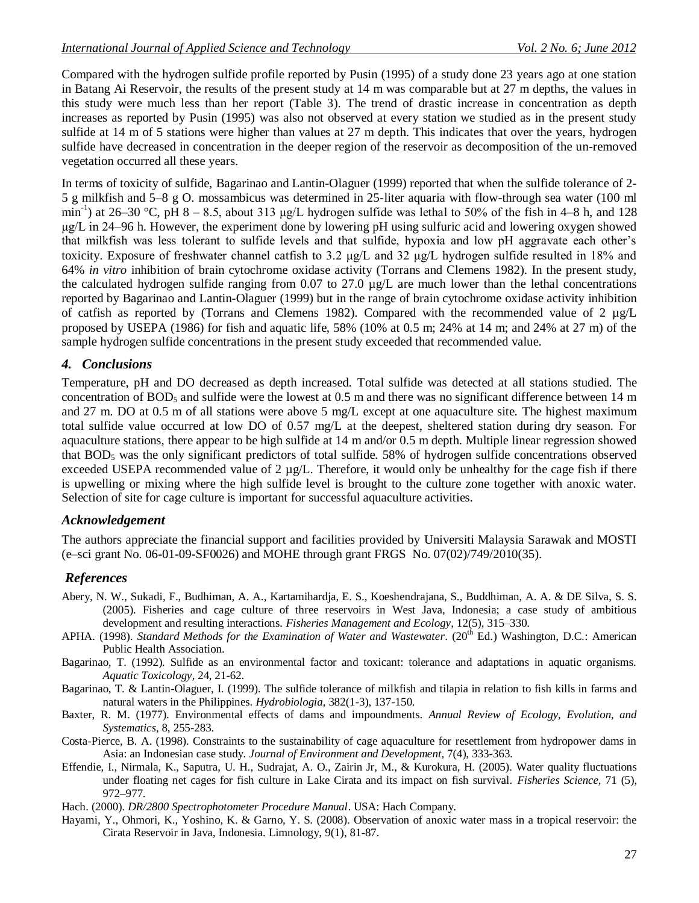Compared with the hydrogen sulfide profile reported by Pusin (1995) of a study done 23 years ago at one station in Batang Ai Reservoir, the results of the present study at 14 m was comparable but at 27 m depths, the values in this study were much less than her report (Table 3). The trend of drastic increase in concentration as depth increases as reported by Pusin (1995) was also not observed at every station we studied as in the present study sulfide at 14 m of 5 stations were higher than values at 27 m depth. This indicates that over the years, hydrogen sulfide have decreased in concentration in the deeper region of the reservoir as decomposition of the un-removed vegetation occurred all these years.

In terms of toxicity of sulfide, Bagarinao and Lantin-Olaguer (1999) reported that when the sulfide tolerance of 2- 5 g milkfish and 5–8 g O. mossambicus was determined in 25-liter aquaria with flow-through sea water (100 ml min<sup>-1</sup>) at 26–30 °C, pH 8 – 8.5, about 313 µg/L hydrogen sulfide was lethal to 50% of the fish in 4–8 h, and 128 μg/L in 24–96 h. However, the experiment done by lowering pH using sulfuric acid and lowering oxygen showed that milkfish was less tolerant to sulfide levels and that sulfide, hypoxia and low pH aggravate each other's toxicity. Exposure of freshwater channel catfish to 3.2 μg/L and 32 μg/L hydrogen sulfide resulted in 18% and 64% *in vitro* inhibition of brain cytochrome oxidase activity (Torrans and Clemens 1982). In the present study, the calculated hydrogen sulfide ranging from 0.07 to 27.0  $\mu$ g/L are much lower than the lethal concentrations reported by Bagarinao and Lantin-Olaguer (1999) but in the range of brain cytochrome oxidase activity inhibition of catfish as reported by (Torrans and Clemens 1982). Compared with the recommended value of 2  $\mu$ g/L proposed by USEPA (1986) for fish and aquatic life, 58% (10% at 0.5 m; 24% at 14 m; and 24% at 27 m) of the sample hydrogen sulfide concentrations in the present study exceeded that recommended value.

### *4. Conclusions*

Temperature, pH and DO decreased as depth increased. Total sulfide was detected at all stations studied. The concentration of  $BOD_5$  and sulfide were the lowest at 0.5 m and there was no significant difference between 14 m and 27 m. DO at 0.5 m of all stations were above 5 mg/L except at one aquaculture site. The highest maximum total sulfide value occurred at low DO of 0.57 mg/L at the deepest, sheltered station during dry season. For aquaculture stations, there appear to be high sulfide at 14 m and/or 0.5 m depth. Multiple linear regression showed that  $BOD<sub>5</sub>$  was the only significant predictors of total sulfide. 58% of hydrogen sulfide concentrations observed exceeded USEPA recommended value of 2  $\mu g/L$ . Therefore, it would only be unhealthy for the cage fish if there is upwelling or mixing where the high sulfide level is brought to the culture zone together with anoxic water. Selection of site for cage culture is important for successful aquaculture activities.

### *Acknowledgement*

The authors appreciate the financial support and facilities provided by Universiti Malaysia Sarawak and MOSTI (e–sci grant No. 06-01-09-SF0026) and MOHE through grant FRGS No. 07(02)/749/2010(35).

### *References*

- Abery, N. W., Sukadi, F., Budhiman, A. A., Kartamihardja, E. S., Koeshendrajana, S., Buddhiman, A. A. & DE Silva, S. S. (2005). Fisheries and cage culture of three reservoirs in West Java, Indonesia; a case study of ambitious development and resulting interactions. *Fisheries Management and Ecology,* 12(5), 315–330.
- APHA. (1998). *Standard Methods for the Examination of Water and Wastewater*. (20<sup>th</sup> Ed.) Washington, D.C.: American Public Health Association.
- Bagarinao, T. (1992). Sulfide as an environmental factor and toxicant: tolerance and adaptations in aquatic organisms. *Aquatic Toxicology,* 24, 21-62.
- Bagarinao, T. & Lantin-Olaguer, I. (1999). The sulfide tolerance of milkfish and tilapia in relation to fish kills in farms and natural waters in the Philippines. *Hydrobiologia,* 382(1-3), 137-150.
- Baxter, R. M. (1977). Environmental effects of dams and impoundments. *Annual Review of Ecology, Evolution, and Systematics*, 8, 255-283.
- Costa-Pierce, B. A. (1998). Constraints to the sustainability of cage aquaculture for resettlement from hydropower dams in Asia: an Indonesian case study*. Journal of Environment and Development,* 7(4), 333-363.
- Effendie, I., Nirmala, K., Saputra, U. H., Sudrajat, A. O., Zairin Jr, M., & Kurokura, H. (2005). Water quality fluctuations under floating net cages for fish culture in Lake Cirata and its impact on fish survival. *Fisheries Science,* 71 (5), 972–977.
- Hach. (2000). *DR/2800 Spectrophotometer Procedure Manual*. USA: Hach Company.
- Hayami, Y., Ohmori, K., Yoshino, K. & Garno, Y. S. (2008). Observation of anoxic water mass in a tropical reservoir: the Cirata Reservoir in Java, Indonesia. Limnology, 9(1), 81-87.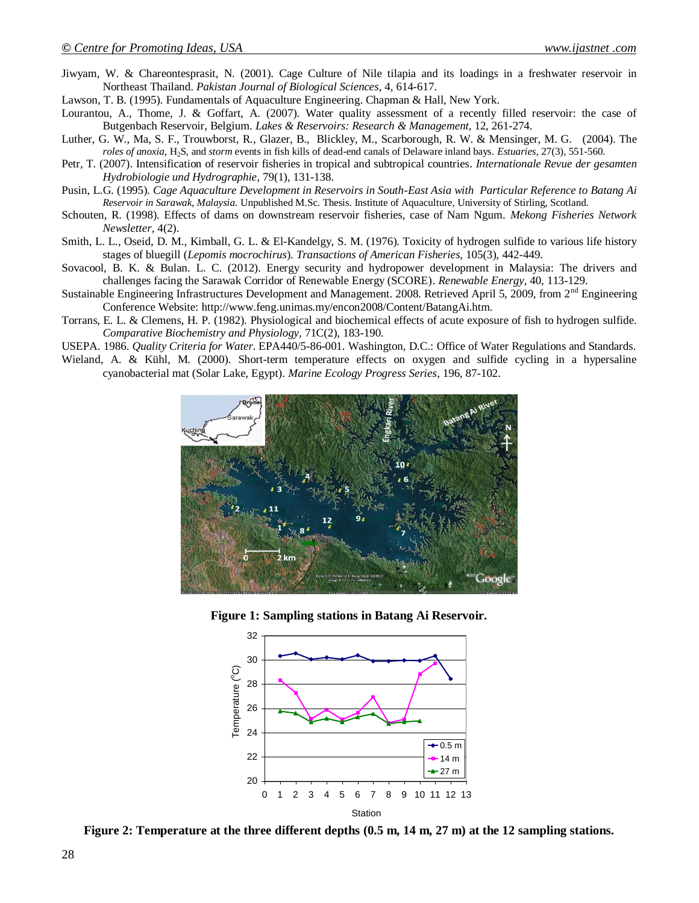- Jiwyam, W. & Chareontesprasit, N. (2001). Cage Culture of Nile tilapia and its loadings in a freshwater reservoir in Northeast Thailand. *Pakistan Journal of Biological Sciences*, 4, 614-617.
- Lawson, T. B. (1995). Fundamentals of Aquaculture Engineering. Chapman & Hall, New York.
- Lourantou, A., Thome, J. & Goffart, A. (2007). Water quality assessment of a recently filled reservoir: the case of Butgenbach Reservoir, Belgium. *Lakes & Reservoirs: Research & Management,* 12, 261-274.
- Luther, G. W., Ma, S. F., Trouwborst, R., Glazer, B., Blickley, M., Scarborough, R. W. & Mensinger, M. G. (2004). The *roles of anoxia*, H2S, and *storm* events in fish kills of dead-end canals of Delaware inland bays. *Estuaries*, 27(3), 551-560.
- Petr, T. (2007). Intensification of reservoir fisheries in tropical and subtropical countries. *Internationale Revue der gesamten Hydrobiologie und Hydrographie,* 79(1), 131-138.
- Pusin, L.G. (1995). *Cage Aquaculture Development in Reservoirs in South-East Asia with Particular Reference to Batang Ai Reservoir in Sarawak, Malaysia.* Unpublished M.Sc. Thesis. Institute of Aquaculture, University of Stirling, Scotland.
- Schouten, R. (1998). Effects of dams on downstream reservoir fisheries, case of Nam Ngum. *Mekong Fisheries Network Newsletter,* 4(2).
- Smith, L. L., Oseid, D. M., Kimball, G. L. & El-Kandelgy, S. M. (1976). Toxicity of hydrogen sulfide to various life history stages of bluegill (*Lepomis mocrochirus*). *Transactions of American Fisheries,* 105(3), 442-449.
- Sovacool, B. K. & Bulan. L. C. (2012). Energy security and hydropower development in Malaysia: The drivers and challenges facing the Sarawak Corridor of Renewable Energy (SCORE). *Renewable Energy*, 40, 113-129.
- Sustainable Engineering Infrastructures Development and Management. 2008. Retrieved April 5, 2009, from 2<sup>nd</sup> Engineering Conference Website: http://www.feng.unimas.my/encon2008/Content/BatangAi.htm.
- Torrans, E. L. & Clemens, H. P. (1982). Physiological and biochemical effects of acute exposure of fish to hydrogen sulfide. *Comparative Biochemistry and Physiology,* 71C(2), 183-190.
- USEPA. 1986. *Quality Criteria for Water*. EPA440/5-86-001. Washington, D.C.: Office of Water Regulations and Standards.
- Wieland, A. & Kühl, M. (2000). Short-term temperature effects on oxygen and sulfide cycling in a hypersaline cyanobacterial mat (Solar Lake, Egypt). *Marine Ecology Progress Series*, 196, 87-102.







**Figure 2: Temperature at the three different depths (0.5 m, 14 m, 27 m) at the 12 sampling stations.**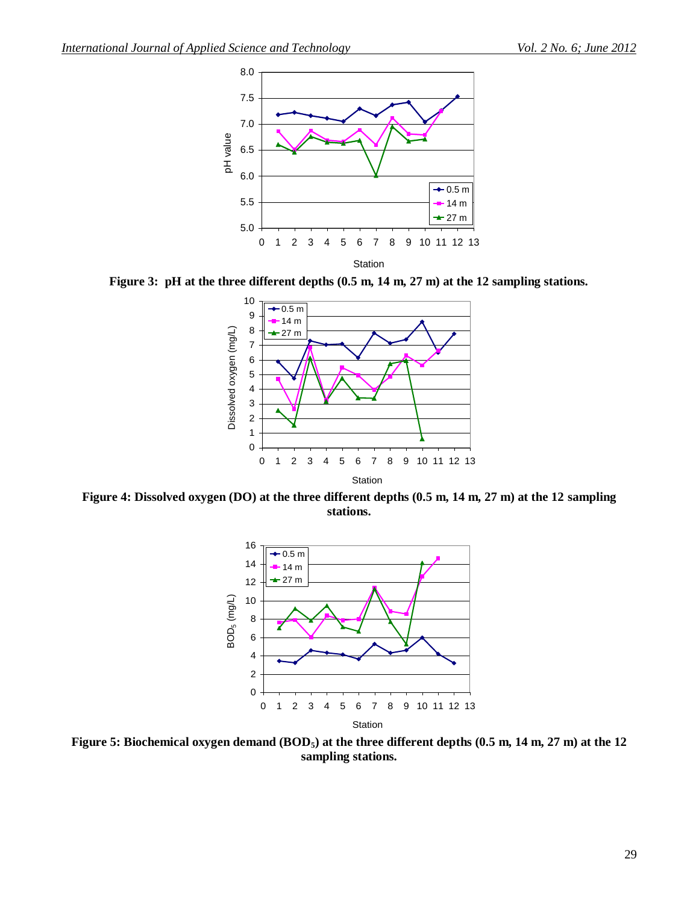

**Figure 3: pH at the three different depths (0.5 m, 14 m, 27 m) at the 12 sampling stations.**



**Figure 4: Dissolved oxygen (DO) at the three different depths (0.5 m, 14 m, 27 m) at the 12 sampling stations.**



**Figure 5: Biochemical oxygen demand (BOD5) at the three different depths (0.5 m, 14 m, 27 m) at the 12 sampling stations.**